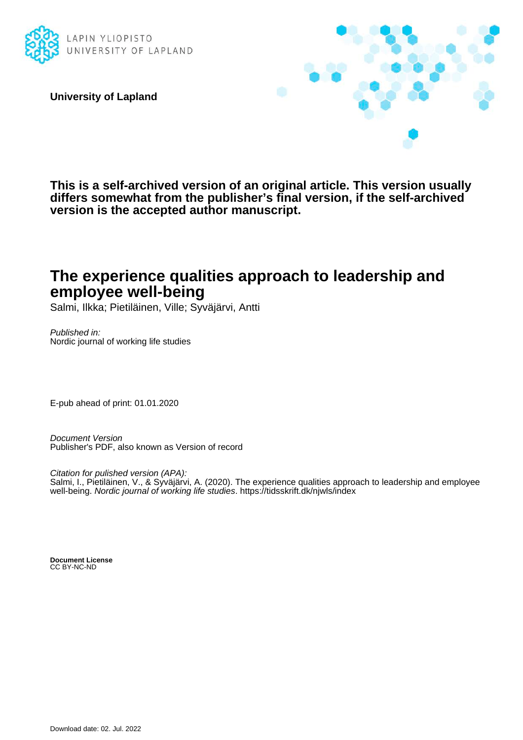

**University of Lapland**



**This is a self-archived version of an original article. This version usually differs somewhat from the publisher's final version, if the self-archived version is the accepted author manuscript.**

# **The experience qualities approach to leadership and employee well-being**

Salmi, Ilkka; Pietiläinen, Ville; Syväjärvi, Antti

Published in: Nordic journal of working life studies

E-pub ahead of print: 01.01.2020

Document Version Publisher's PDF, also known as Version of record

Citation for pulished version (APA): Salmi, I., Pietiläinen, V., & Syväjärvi, A. (2020). The experience qualities approach to leadership and employee well-being. Nordic journal of working life studies.<https://tidsskrift.dk/njwls/index>

**Document License** CC BY-NC-ND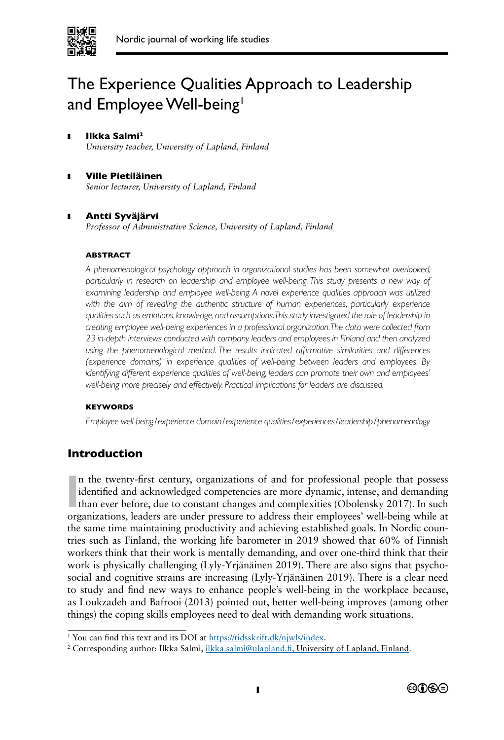

# The Experience Qualities Approach to Leadership and Employee Well-being<sup>1</sup>

#### **Ilkka Salmi<sup>2</sup>** *University teacher, University of Lapland, Finland*

❚ **Ville Pietiläinen** *Senior lecturer, University of Lapland, Finland*

# ❚ **Antti Syväjärvi**

*Professor of Administrative Science, University of Lapland, Finland*

#### **ABSTRACT**

*A phenomenological psychology approach in organizational studies has been somewhat overlooked, particularly in research on leadership and employee well-being. This study presents a new way of examining leadership and employee well-being. A novel experience qualities approach was utilized*  with the aim of revealing the authentic structure of human experiences, particularly experience *qualities such as emotions, knowledge, and assumptions. This study investigated the role of leadership in creating employee well-being experiences in a professional organization. The data were collected from 23 in-depth interviews conducted with company leaders and employees in Finland and then analyzed*  using the phenomenological method. The results indicated affirmative similarities and differences *(experience domains) in experience qualities of well-being between leaders and employees. By identifying different experience qualities of well-being, leaders can promote their own and employees' well-being more precisely and effectively. Practical implications for leaders are discussed.*

#### **KEYWORDS**

*Employee well-being/experience domain/experience qualities/experiences/leadership/phenomenology*

# **Introduction**

In the twenty-first century, organizations of and for professional people that possess identified and acknowledged competencies are more dynamic, intense, and demanding than ever before, due to constant changes and complex n the twenty-frst century, organizations of and for professional people that possess identifed and acknowledged competencies are more dynamic, intense, and demanding than ever before, due to constant changes and complexities (Obolensky 2017). In such the same time maintaining productivity and achieving established goals. In Nordic countries such as Finland, the working life barometer in 2019 showed that 60% of Finnish workers think that their work is mentally demanding, and over one-third think that their work is physically challenging (Lyly-Yrjänäinen 2019). There are also signs that psychosocial and cognitive strains are increasing (Lyly-Yrjänäinen 2019). There is a clear need to study and fnd new ways to enhance people's well-being in the workplace because, as Loukzadeh and Bafrooi (2013) pointed out, better well-being improves (among other things) the coping skills employees need to deal with demanding work situations.

<sup>&</sup>lt;sup>2</sup> Corresponding author: Ilkka Salmi, *ilkka.salmi@ulapland.fi*, University of Lapland, Finland.



<sup>&</sup>lt;sup>1</sup> You can find this text and its DOI at https://tidsskrift.dk/njwls/index.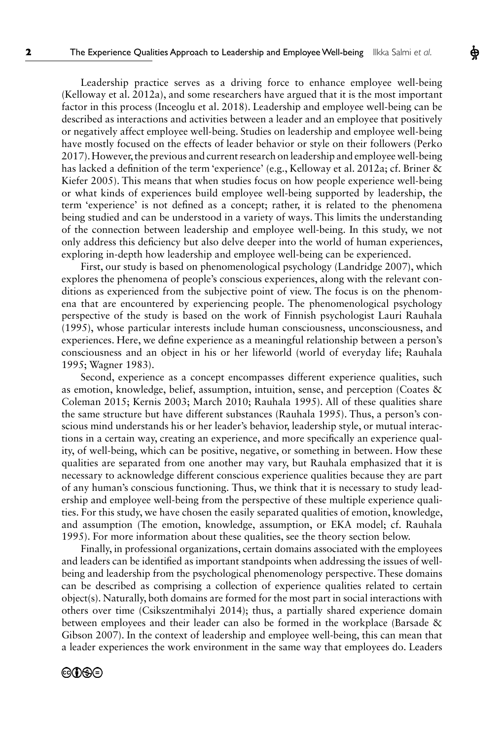Leadership practice serves as a driving force to enhance employee well-being (Kelloway et al. 2012a), and some researchers have argued that it is the most important factor in this process (Inceoglu et al. 2018). Leadership and employee well-being can be described as interactions and activities between a leader and an employee that positively or negatively affect employee well-being. Studies on leadership and employee well-being have mostly focused on the effects of leader behavior or style on their followers (Perko 2017). However, the previous and current research on leadership and employee well-being has lacked a defnition of the term 'experience' (e.g., Kelloway et al. 2012a; cf. Briner & Kiefer 2005). This means that when studies focus on how people experience well-being or what kinds of experiences build employee well-being supported by leadership, the term 'experience' is not defned as a concept; rather, it is related to the phenomena being studied and can be understood in a variety of ways. This limits the understanding of the connection between leadership and employee well-being. In this study, we not only address this defciency but also delve deeper into the world of human experiences, exploring in-depth how leadership and employee well-being can be experienced.

First, our study is based on phenomenological psychology (Landridge 2007), which explores the phenomena of people's conscious experiences, along with the relevant conditions as experienced from the subjective point of view. The focus is on the phenomena that are encountered by experiencing people. The phenomenological psychology perspective of the study is based on the work of Finnish psychologist Lauri Rauhala (1995), whose particular interests include human consciousness, unconsciousness, and experiences. Here, we defne experience as a meaningful relationship between a person's consciousness and an object in his or her lifeworld (world of everyday life; Rauhala 1995; Wagner 1983).

Second, experience as a concept encompasses different experience qualities, such as emotion, knowledge, belief, assumption, intuition, sense, and perception (Coates & Coleman 2015; Kernis 2003; March 2010; Rauhala 1995). All of these qualities share the same structure but have different substances (Rauhala 1995). Thus, a person's conscious mind understands his or her leader's behavior, leadership style, or mutual interactions in a certain way, creating an experience, and more specifcally an experience quality, of well-being, which can be positive, negative, or something in between. How these qualities are separated from one another may vary, but Rauhala emphasized that it is necessary to acknowledge different conscious experience qualities because they are part of any human's conscious functioning. Thus, we think that it is necessary to study leadership and employee well-being from the perspective of these multiple experience qualities. For this study, we have chosen the easily separated qualities of emotion, knowledge, and assumption (The emotion, knowledge, assumption, or EKA model; cf. Rauhala 1995). For more information about these qualities, see the theory section below.

Finally, in professional organizations, certain domains associated with the employees and leaders can be identifed as important standpoints when addressing the issues of wellbeing and leadership from the psychological phenomenology perspective. These domains can be described as comprising a collection of experience qualities related to certain object(s). Naturally, both domains are formed for the most part in social interactions with others over time (Csikszentmihalyi 2014); thus, a partially shared experience domain between employees and their leader can also be formed in the workplace (Barsade & Gibson 2007). In the context of leadership and employee well-being, this can mean that a leader experiences the work environment in the same way that employees do. Leaders

### ©OSO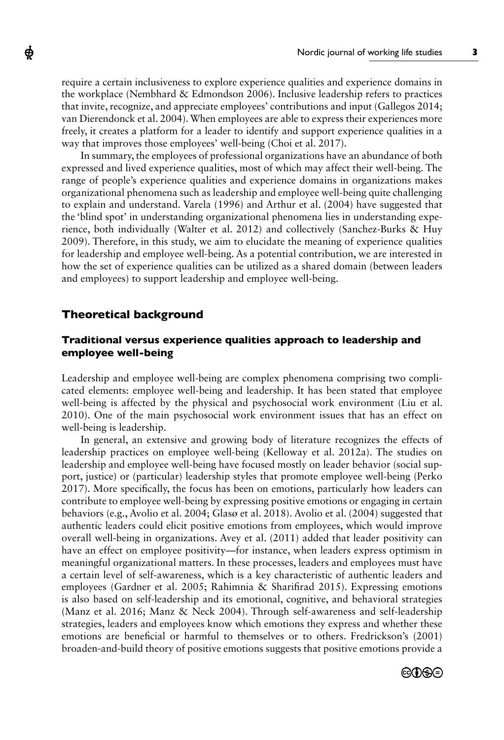require a certain inclusiveness to explore experience qualities and experience domains in the workplace (Nembhard & Edmondson 2006). Inclusive leadership refers to practices that invite, recognize, and appreciate employees' contributions and input (Gallegos 2014; van Dierendonck et al. 2004). When employees are able to express their experiences more freely, it creates a platform for a leader to identify and support experience qualities in a way that improves those employees' well-being (Choi et al. 2017).

In summary, the employees of professional organizations have an abundance of both expressed and lived experience qualities, most of which may affect their well-being. The range of people's experience qualities and experience domains in organizations makes organizational phenomena such as leadership and employee well-being quite challenging to explain and understand. Varela (1996) and Arthur et al. (2004) have suggested that the 'blind spot' in understanding organizational phenomena lies in understanding experience, both individually (Walter et al. 2012) and collectively (Sanchez-Burks & Huy 2009). Therefore, in this study, we aim to elucidate the meaning of experience qualities for leadership and employee well-being. As a potential contribution, we are interested in how the set of experience qualities can be utilized as a shared domain (between leaders and employees) to support leadership and employee well-being.

# **Theoretical background**

ф

# **Traditional versus experience qualities approach to leadership and employee well-being**

Leadership and employee well-being are complex phenomena comprising two complicated elements: employee well-being and leadership. It has been stated that employee well-being is affected by the physical and psychosocial work environment (Liu et al. 2010). One of the main psychosocial work environment issues that has an effect on well-being is leadership.

In general, an extensive and growing body of literature recognizes the effects of leadership practices on employee well-being (Kelloway et al. 2012a). The studies on leadership and employee well-being have focused mostly on leader behavior (social support, justice) or (particular) leadership styles that promote employee well-being (Perko 2017). More specifcally, the focus has been on emotions, particularly how leaders can contribute to employee well-being by expressing positive emotions or engaging in certain behaviors (e.g., Avolio et al. 2004; Glasø et al. 2018). Avolio et al. (2004) suggested that authentic leaders could elicit positive emotions from employees, which would improve overall well-being in organizations. Avey et al. (2011) added that leader positivity can have an effect on employee positivity—for instance, when leaders express optimism in meaningful organizational matters. In these processes, leaders and employees must have a certain level of self-awareness, which is a key characteristic of authentic leaders and employees (Gardner et al. 2005; Rahimnia & Sharifrad 2015). Expressing emotions is also based on self-leadership and its emotional, cognitive, and behavioral strategies (Manz et al. 2016; Manz & Neck 2004). Through self-awareness and self-leadership strategies, leaders and employees know which emotions they express and whether these emotions are benefcial or harmful to themselves or to others. Fredrickson's (2001) broaden-and-build theory of positive emotions suggests that positive emotions provide a

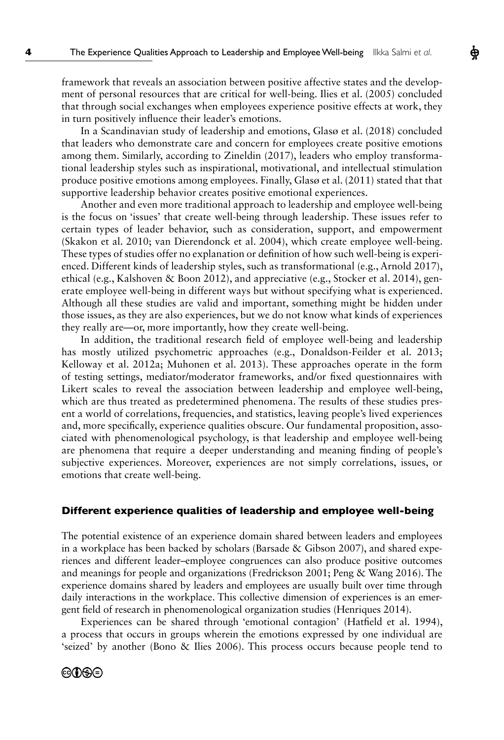framework that reveals an association between positive affective states and the development of personal resources that are critical for well-being. Ilies et al. (2005) concluded that through social exchanges when employees experience positive effects at work, they in turn positively infuence their leader's emotions.

In a Scandinavian study of leadership and emotions, Glasø et al. (2018) concluded that leaders who demonstrate care and concern for employees create positive emotions among them. Similarly, according to Zineldin (2017), leaders who employ transformational leadership styles such as inspirational, motivational, and intellectual stimulation produce positive emotions among employees. Finally, Glasø et al. (2011) stated that that supportive leadership behavior creates positive emotional experiences.

Another and even more traditional approach to leadership and employee well-being is the focus on 'issues' that create well-being through leadership. These issues refer to certain types of leader behavior, such as consideration, support, and empowerment (Skakon et al. 2010; van Dierendonck et al. 2004), which create employee well-being. These types of studies offer no explanation or defnition of how such well-being is experienced. Different kinds of leadership styles, such as transformational (e.g., Arnold 2017), ethical (e.g., Kalshoven & Boon 2012), and appreciative (e.g., Stocker et al. 2014), generate employee well-being in different ways but without specifying what is experienced. Although all these studies are valid and important, something might be hidden under those issues, as they are also experiences, but we do not know what kinds of experiences they really are—or, more importantly, how they create well-being.

In addition, the traditional research feld of employee well-being and leadership has mostly utilized psychometric approaches (e.g., Donaldson-Feilder et al. 2013; Kelloway et al. 2012a; Muhonen et al. 2013). These approaches operate in the form of testing settings, mediator/moderator frameworks, and/or fxed questionnaires with Likert scales to reveal the association between leadership and employee well-being, which are thus treated as predetermined phenomena. The results of these studies present a world of correlations, frequencies, and statistics, leaving people's lived experiences and, more specifcally, experience qualities obscure. Our fundamental proposition, associated with phenomenological psychology, is that leadership and employee well-being are phenomena that require a deeper understanding and meaning fnding of people's subjective experiences. Moreover, experiences are not simply correlations, issues, or emotions that create well-being.

# **Different experience qualities of leadership and employee well-being**

The potential existence of an experience domain shared between leaders and employees in a workplace has been backed by scholars (Barsade & Gibson 2007), and shared experiences and different leader–employee congruences can also produce positive outcomes and meanings for people and organizations (Fredrickson 2001; Peng & Wang 2016). The experience domains shared by leaders and employees are usually built over time through daily interactions in the workplace. This collective dimension of experiences is an emergent feld of research in phenomenological organization studies (Henriques 2014).

Experiences can be shared through 'emotional contagion' (Hatfeld et al. 1994), a process that occurs in groups wherein the emotions expressed by one individual are 'seized' by another (Bono & Ilies 2006). This process occurs because people tend to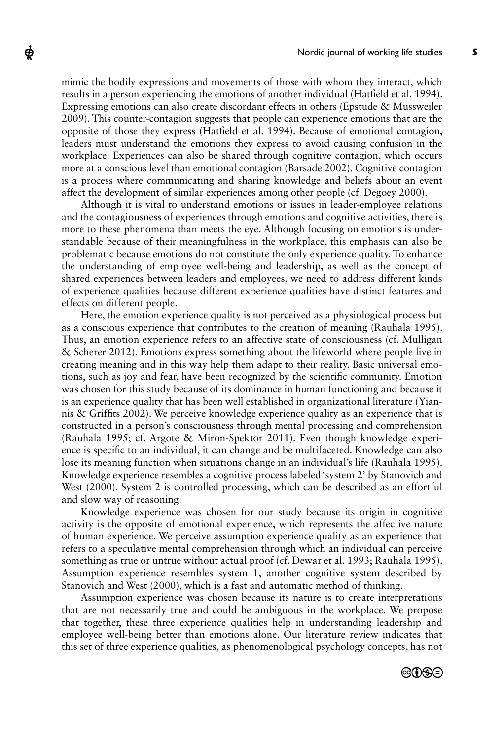mimic the bodily expressions and movements of those with whom they interact, which results in a person experiencing the emotions of another individual (Hatfeld et al. 1994). Expressing emotions can also create discordant effects in others (Epstude & Mussweiler 2009). This counter-contagion suggests that people can experience emotions that are the opposite of those they express (Hatfeld et al. 1994). Because of emotional contagion, leaders must understand the emotions they express to avoid causing confusion in the workplace. Experiences can also be shared through cognitive contagion, which occurs more at a conscious level than emotional contagion (Barsade 2002). Cognitive contagion is a process where communicating and sharing knowledge and beliefs about an event affect the development of similar experiences among other people (cf. Degoey 2000).

ф

Although it is vital to understand emotions or issues in leader-employee relations and the contagiousness of experiences through emotions and cognitive activities, there is more to these phenomena than meets the eye. Although focusing on emotions is understandable because of their meaningfulness in the workplace, this emphasis can also be problematic because emotions do not constitute the only experience quality. To enhance the understanding of employee well-being and leadership, as well as the concept of shared experiences between leaders and employees, we need to address different kinds of experience qualities because different experience qualities have distinct features and effects on different people.

Here, the emotion experience quality is not perceived as a physiological process but as a conscious experience that contributes to the creation of meaning (Rauhala 1995). Thus, an emotion experience refers to an affective state of consciousness (cf. Mulligan & Scherer 2012). Emotions express something about the lifeworld where people live in creating meaning and in this way help them adapt to their reality. Basic universal emotions, such as joy and fear, have been recognized by the scientifc community. Emotion was chosen for this study because of its dominance in human functioning and because it is an experience quality that has been well established in organizational literature (Yiannis & Griffts 2002). We perceive knowledge experience quality as an experience that is constructed in a person's consciousness through mental processing and comprehension (Rauhala 1995; cf. Argote & Miron-Spektor 2011). Even though knowledge experience is specifc to an individual, it can change and be multifaceted. Knowledge can also lose its meaning function when situations change in an individual's life (Rauhala 1995). Knowledge experience resembles a cognitive process labeled 'system 2' by Stanovich and West (2000). System 2 is controlled processing, which can be described as an effortful and slow way of reasoning.

Knowledge experience was chosen for our study because its origin in cognitive activity is the opposite of emotional experience, which represents the affective nature of human experience. We perceive assumption experience quality as an experience that refers to a speculative mental comprehension through which an individual can perceive something as true or untrue without actual proof (cf. Dewar et al. 1993; Rauhala 1995). Assumption experience resembles system 1, another cognitive system described by Stanovich and West (2000), which is a fast and automatic method of thinking.

Assumption experience was chosen because its nature is to create interpretations that are not necessarily true and could be ambiguous in the workplace. We propose that together, these three experience qualities help in understanding leadership and employee well-being better than emotions alone. Our literature review indicates that this set of three experience qualities, as phenomenological psychology concepts, has not

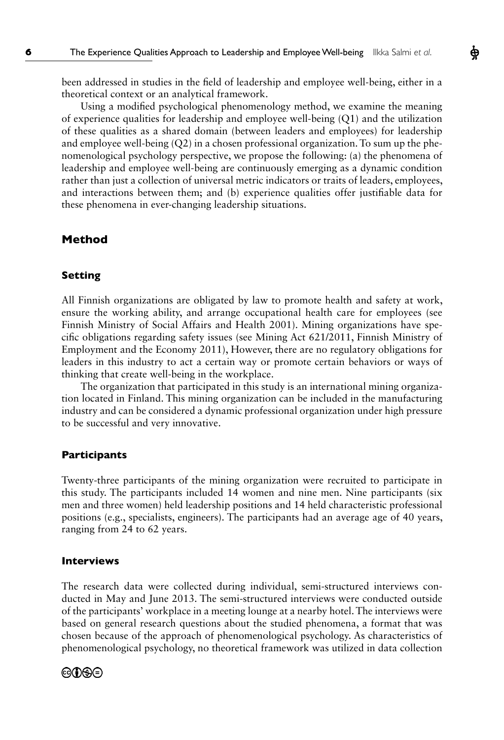been addressed in studies in the feld of leadership and employee well-being, either in a theoretical context or an analytical framework.

Using a modifed psychological phenomenology method, we examine the meaning of experience qualities for leadership and employee well-being (Q1) and the utilization of these qualities as a shared domain (between leaders and employees) for leadership and employee well-being (Q2) in a chosen professional organization. To sum up the phenomenological psychology perspective, we propose the following: (a) the phenomena of leadership and employee well-being are continuously emerging as a dynamic condition rather than just a collection of universal metric indicators or traits of leaders, employees, and interactions between them; and (b) experience qualities offer justifable data for these phenomena in ever-changing leadership situations.

# **Method**

#### **Setting**

All Finnish organizations are obligated by law to promote health and safety at work, ensure the working ability, and arrange occupational health care for employees (see Finnish Ministry of Social Affairs and Health 2001). Mining organizations have specifc obligations regarding safety issues (see Mining Act 621/2011, Finnish Ministry of Employment and the Economy 2011), However, there are no regulatory obligations for leaders in this industry to act a certain way or promote certain behaviors or ways of thinking that create well-being in the workplace.

The organization that participated in this study is an international mining organization located in Finland. This mining organization can be included in the manufacturing industry and can be considered a dynamic professional organization under high pressure to be successful and very innovative.

#### **Participants**

Twenty-three participants of the mining organization were recruited to participate in this study. The participants included 14 women and nine men. Nine participants (six men and three women) held leadership positions and 14 held characteristic professional positions (e.g., specialists, engineers). The participants had an average age of 40 years, ranging from 24 to 62 years.

#### **Interviews**

The research data were collected during individual, semi-structured interviews conducted in May and June 2013. The semi-structured interviews were conducted outside of the participants' workplace in a meeting lounge at a nearby hotel. The interviews were based on general research questions about the studied phenomena, a format that was chosen because of the approach of phenomenological psychology. As characteristics of phenomenological psychology, no theoretical framework was utilized in data collection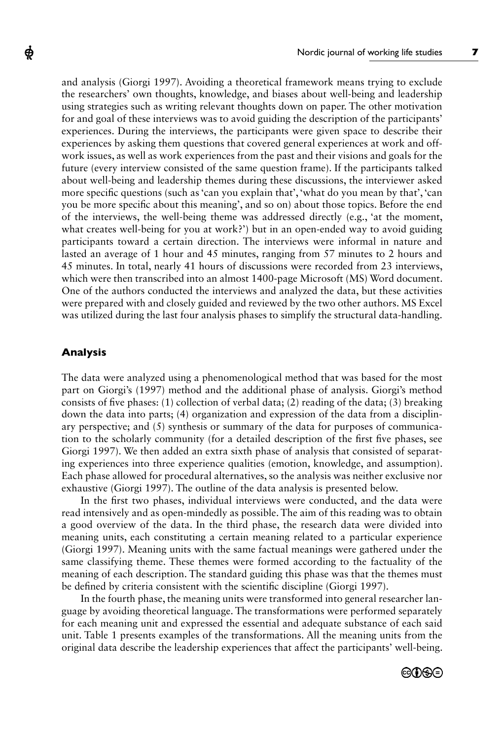and analysis (Giorgi 1997). Avoiding a theoretical framework means trying to exclude the researchers' own thoughts, knowledge, and biases about well-being and leadership using strategies such as writing relevant thoughts down on paper. The other motivation for and goal of these interviews was to avoid guiding the description of the participants' experiences. During the interviews, the participants were given space to describe their experiences by asking them questions that covered general experiences at work and offwork issues, as well as work experiences from the past and their visions and goals for the future (every interview consisted of the same question frame). If the participants talked about well-being and leadership themes during these discussions, the interviewer asked more specifc questions (such as 'can you explain that', 'what do you mean by that', 'can you be more specifc about this meaning', and so on) about those topics. Before the end of the interviews, the well-being theme was addressed directly (e.g., 'at the moment, what creates well-being for you at work?') but in an open-ended way to avoid guiding participants toward a certain direction. The interviews were informal in nature and lasted an average of 1 hour and 45 minutes, ranging from 57 minutes to 2 hours and 45 minutes. In total, nearly 41 hours of discussions were recorded from 23 interviews, which were then transcribed into an almost 1400-page Microsoft (MS) Word document. One of the authors conducted the interviews and analyzed the data, but these activities were prepared with and closely guided and reviewed by the two other authors. MS Excel was utilized during the last four analysis phases to simplify the structural data-handling.

#### **Analysis**

ф

The data were analyzed using a phenomenological method that was based for the most part on Giorgi's (1997) method and the additional phase of analysis. Giorgi's method consists of fve phases: (1) collection of verbal data; ([2](http://web.ebscohost.com/ehost/%09%09%09%09%09%09#bib2)) reading of the data; ([3](http://web.ebscohost.com/ehost/%09%09%09%09%09%09#bib3)) breaking down the data into parts; (4) organization and expression of the data from a disciplinary perspective; and  $(5)$  synthesis or summary of the data for purposes of communication to the scholarly community (for a detailed description of the frst fve phases, see Giorgi 1997). We then added an extra sixth phase of analysis that consisted of separating experiences into three experience qualities (emotion, knowledge, and assumption). Each phase allowed for procedural alternatives, so the analysis was neither exclusive nor exhaustive (Giorgi 1997). The outline of the data analysis is presented below.

In the frst two phases, individual interviews were conducted, and the data were read intensively and as open-mindedly as possible. The aim of this reading was to obtain a good overview of the data. In the third phase, the research data were divided into meaning units, each constituting a certain meaning related to a particular experience (Giorgi 1997). Meaning units with the same factual meanings were gathered under the same classifying theme. These themes were formed according to the factuality of the meaning of each description. The standard guiding this phase was that the themes must be defned by criteria consistent with the scientifc discipline (Giorgi 1997).

In the fourth phase, the meaning units were transformed into general researcher language by avoiding theoretical language. The transformations were performed separately for each meaning unit and expressed the essential and adequate substance of each said unit. Table 1 presents examples of the transformations. All the meaning units from the original data describe the leadership experiences that affect the participants' well-being.

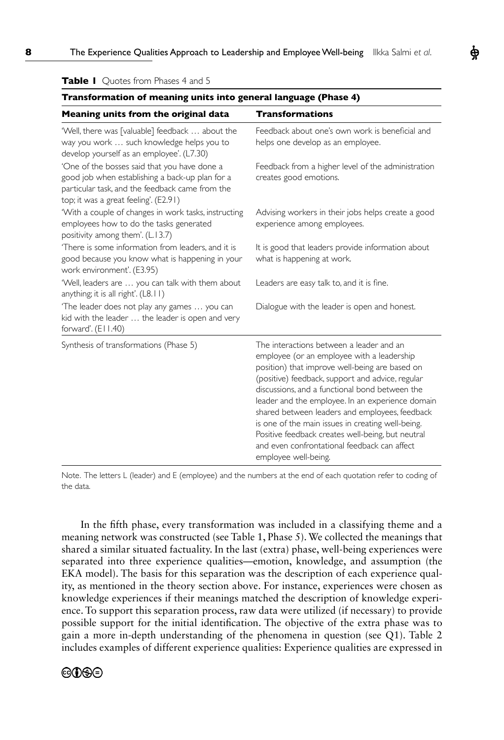| Transformation of meaning units into general language (Phase 4)                                                                                                                             |                                                                                                                                                                                                                                                                                                                                                                                                                                                                                                                                        |  |  |  |  |  |
|---------------------------------------------------------------------------------------------------------------------------------------------------------------------------------------------|----------------------------------------------------------------------------------------------------------------------------------------------------------------------------------------------------------------------------------------------------------------------------------------------------------------------------------------------------------------------------------------------------------------------------------------------------------------------------------------------------------------------------------------|--|--|--|--|--|
| Meaning units from the original data                                                                                                                                                        | <b>Transformations</b>                                                                                                                                                                                                                                                                                                                                                                                                                                                                                                                 |  |  |  |  |  |
| 'Well, there was [valuable] feedback  about the<br>way you work  such knowledge helps you to<br>develop yourself as an employee'. (L7.30)                                                   | Feedback about one's own work is beneficial and<br>helps one develop as an employee.                                                                                                                                                                                                                                                                                                                                                                                                                                                   |  |  |  |  |  |
| 'One of the bosses said that you have done a<br>good job when establishing a back-up plan for a<br>particular task, and the feedback came from the<br>top; it was a great feeling'. (E2.91) | Feedback from a higher level of the administration<br>creates good emotions.                                                                                                                                                                                                                                                                                                                                                                                                                                                           |  |  |  |  |  |
| 'With a couple of changes in work tasks, instructing<br>employees how to do the tasks generated<br>positivity among them'. (L.13.7)                                                         | Advising workers in their jobs helps create a good<br>experience among employees.                                                                                                                                                                                                                                                                                                                                                                                                                                                      |  |  |  |  |  |
| 'There is some information from leaders, and it is<br>good because you know what is happening in your<br>work environment'. (E3.95)                                                         | It is good that leaders provide information about<br>what is happening at work.                                                                                                                                                                                                                                                                                                                                                                                                                                                        |  |  |  |  |  |
| 'Well, leaders are  you can talk with them about<br>anything; it is all right'. (L8.11)                                                                                                     | Leaders are easy talk to, and it is fine.                                                                                                                                                                                                                                                                                                                                                                                                                                                                                              |  |  |  |  |  |
| 'The leader does not play any games  you can<br>kid with the leader  the leader is open and very<br>forward'. $(E11.40)$                                                                    | Dialogue with the leader is open and honest.                                                                                                                                                                                                                                                                                                                                                                                                                                                                                           |  |  |  |  |  |
| Synthesis of transformations (Phase 5)                                                                                                                                                      | The interactions between a leader and an<br>employee (or an employee with a leadership<br>position) that improve well-being are based on<br>(positive) feedback, support and advice, regular<br>discussions, and a functional bond between the<br>leader and the employee. In an experience domain<br>shared between leaders and employees, feedback<br>is one of the main issues in creating well-being.<br>Positive feedback creates well-being, but neutral<br>and even confrontational feedback can affect<br>employee well-being. |  |  |  |  |  |

**Table I** Quotes from Phases 4 and 5

Note. The letters L (leader) and E (employee) and the numbers at the end of each quotation refer to coding of the data.

In the ffth phase, every transformation was included in a classifying theme and a meaning network was constructed (see Table 1, Phase 5). We collected the meanings that shared a similar situated factuality. In the last (extra) phase, well-being experiences were separated into three experience qualities—emotion, knowledge, and assumption (the EKA model). The basis for this separation was the description of each experience quality, as mentioned in the theory section above. For instance, experiences were chosen as knowledge experiences if their meanings matched the description of knowledge experience. To support this separation process, raw data were utilized (if necessary) to provide possible support for the initial identifcation. The objective of the extra phase was to gain a more in-depth understanding of the phenomena in question (see Q1). Table 2 includes examples of different experience qualities: Experience qualities are expressed in

# **@D\$O**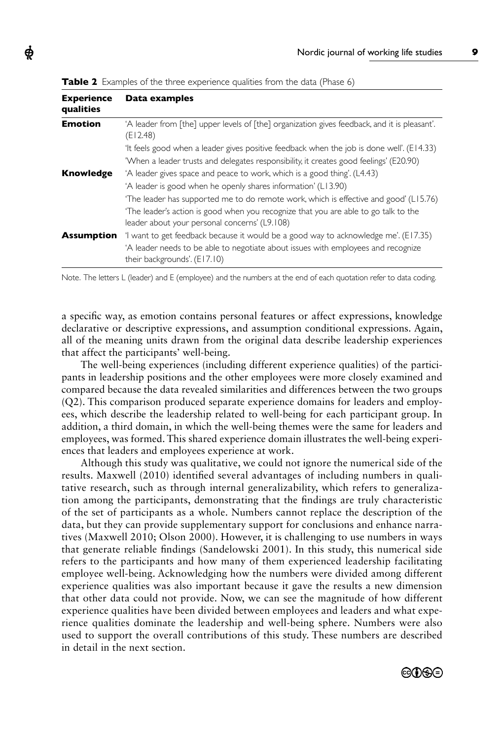| <b>Experience</b><br>qualities | Data examples                                                                                                                       |  |  |  |  |  |  |
|--------------------------------|-------------------------------------------------------------------------------------------------------------------------------------|--|--|--|--|--|--|
| <b>Emotion</b>                 | A leader from [the] upper levels of [the] organization gives feedback, and it is pleasant'.<br>(E12.48)                             |  |  |  |  |  |  |
|                                | 'It feels good when a leader gives positive feedback when the job is done well'. (E14.33)                                           |  |  |  |  |  |  |
|                                | 'When a leader trusts and delegates responsibility, it creates good feelings' (E20.90)                                              |  |  |  |  |  |  |
| Knowledge                      | 'A leader gives space and peace to work, which is a good thing'. (L4.43)                                                            |  |  |  |  |  |  |
|                                | 'A leader is good when he openly shares information' (L13.90)                                                                       |  |  |  |  |  |  |
|                                | The leader has supported me to do remote work, which is effective and good' (L15.76)                                                |  |  |  |  |  |  |
|                                | The leader's action is good when you recognize that you are able to go talk to the<br>leader about your personal concerns' (L9,108) |  |  |  |  |  |  |
| <b>Assumption</b>              | 'I want to get feedback because it would be a good way to acknowledge me'. (E17.35)                                                 |  |  |  |  |  |  |
|                                | A leader needs to be able to negotiate about issues with employees and recognize<br>their backgrounds'. (E17.10)                    |  |  |  |  |  |  |

**Table 2** Examples of the three experience qualities from the data (Phase 6)

ф

Note. The letters L (leader) and E (employee) and the numbers at the end of each quotation refer to data coding.

a specifc way, as emotion contains personal features or affect expressions, knowledge declarative or descriptive expressions, and assumption conditional expressions. Again, all of the meaning units drawn from the original data describe leadership experiences that affect the participants' well-being.

The well-being experiences (including different experience qualities) of the participants in leadership positions and the other employees were more closely examined and compared because the data revealed similarities and differences between the two groups (Q2). This comparison produced separate experience domains for leaders and employees, which describe the leadership related to well-being for each participant group. In addition, a third domain, in which the well-being themes were the same for leaders and employees, was formed. This shared experience domain illustrates the well-being experiences that leaders and employees experience at work.

Although this study was qualitative, we could not ignore the numerical side of the results. Maxwell (2010) identifed several advantages of including numbers in qualitative research, such as through internal generalizability, which refers to generalization among the participants, demonstrating that the fndings are truly characteristic of the set of participants as a whole. Numbers cannot replace the description of the data, but they can provide supplementary support for conclusions and enhance narratives (Maxwell 2010; Olson 2000). However, it is challenging to use numbers in ways that generate reliable fndings (Sandelowski 2001). In this study, this numerical side refers to the participants and how many of them experienced leadership facilitating employee well-being. Acknowledging how the numbers were divided among different experience qualities was also important because it gave the results a new dimension that other data could not provide. Now, we can see the magnitude of how different experience qualities have been divided between employees and leaders and what experience qualities dominate the leadership and well-being sphere. Numbers were also used to support the overall contributions of this study. These numbers are described in detail in the next section.

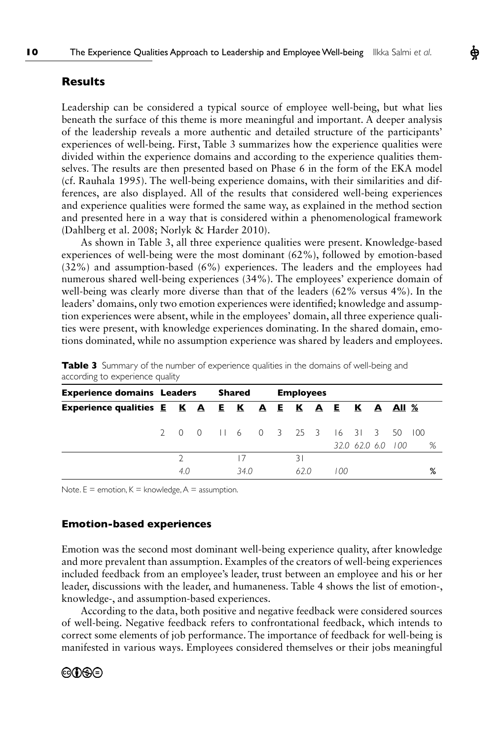# **Results**

Leadership can be considered a typical source of employee well-being, but what lies beneath the surface of this theme is more meaningful and important. A deeper analysis of the leadership reveals a more authentic and detailed structure of the participants' experiences of well-being. First, Table 3 summarizes how the experience qualities were divided within the experience domains and according to the experience qualities themselves. The results are then presented based on Phase 6 in the form of the EKA model (cf. Rauhala 1995). The well-being experience domains, with their similarities and differences, are also displayed. All of the results that considered well-being experiences and experience qualities were formed the same way, as explained in the method section and presented here in a way that is considered within a phenomenological framework (Dahlberg et al. 2008; Norlyk & Harder 2010).

As shown in Table 3, all three experience qualities were present. Knowledge-based experiences of well-being were the most dominant (62%), followed by emotion-based (32%) and assumption-based (6%) experiences. The leaders and the employees had numerous shared well-being experiences (34%). The employees' experience domain of well-being was clearly more diverse than that of the leaders (62% versus 4%). In the leaders' domains, only two emotion experiences were identifed; knowledge and assumption experiences were absent, while in the employees' domain, all three experience qualities were present, with knowledge experiences dominating. In the shared domain, emotions dominated, while no assumption experience was shared by leaders and employees.

| <b>Experience domains Leaders</b>                  |  |     |  |  | Shared |  |  | <b>Employees</b> |  |                                     |                   |  |   |
|----------------------------------------------------|--|-----|--|--|--------|--|--|------------------|--|-------------------------------------|-------------------|--|---|
| Experience qualities E K A E K A E K A E K A All % |  |     |  |  |        |  |  |                  |  |                                     |                   |  |   |
|                                                    |  |     |  |  |        |  |  |                  |  | 2 0 0 1 1 6 0 3 25 3 16 31 3 50 100 |                   |  |   |
|                                                    |  |     |  |  |        |  |  |                  |  |                                     | 32.0 62.0 6.0 100 |  | % |
|                                                    |  |     |  |  | 17     |  |  | 31               |  |                                     |                   |  |   |
|                                                    |  | 4.0 |  |  | 34.0   |  |  | 62.0             |  | 100                                 |                   |  | % |

**Table 3** Summary of the number of experience qualities in the domains of well-being and according to experience quality

Note.  $E =$  emotion,  $K =$  knowledge,  $A =$  assumption.

#### **Emotion-based experiences**

Emotion was the second most dominant well-being experience quality, after knowledge and more prevalent than assumption. Examples of the creators of well-being experiences included feedback from an employee's leader, trust between an employee and his or her leader, discussions with the leader, and humaneness. Table 4 shows the list of emotion-, knowledge-, and assumption-based experiences.

According to the data, both positive and negative feedback were considered sources of well-being. Negative feedback refers to confrontational feedback, which intends to correct some elements of job performance. The importance of feedback for well-being is manifested in various ways. Employees considered themselves or their jobs meaningful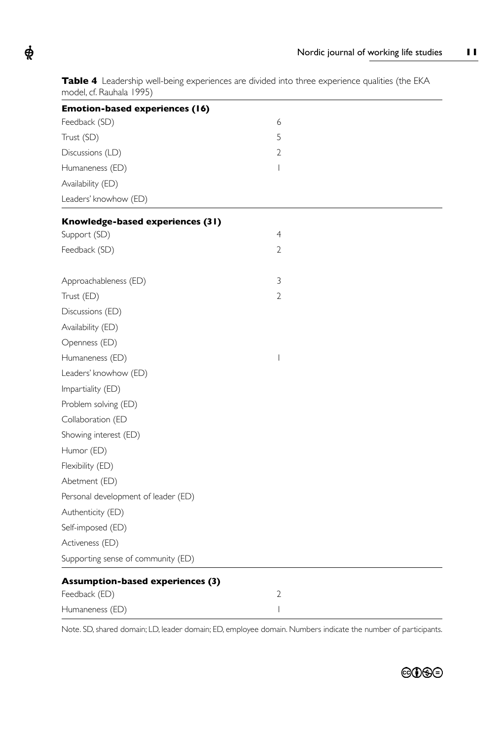Table 4 Leadership well-being experiences are divided into three experience qualities (the EKA model, cf. Rauhala 1995)

 $\boldsymbol{\phi}$ 

| <b>Emotion-based experiences (16)</b>   |                          |  |
|-----------------------------------------|--------------------------|--|
| Feedback (SD)                           | 6                        |  |
| Trust (SD)                              | 5                        |  |
| Discussions (LD)                        | 2                        |  |
| Humaneness (ED)                         | $\overline{\phantom{a}}$ |  |
| Availability (ED)                       |                          |  |
| Leaders' knowhow (ED)                   |                          |  |
| Knowledge-based experiences (31)        |                          |  |
| Support (SD)                            | $\overline{4}$           |  |
| Feedback (SD)                           | 2                        |  |
| Approachableness (ED)                   | 3                        |  |
| Trust (ED)                              | 2                        |  |
| Discussions (ED)                        |                          |  |
| Availability (ED)                       |                          |  |
| Openness (ED)                           |                          |  |
| Humaneness (ED)                         | $\overline{\phantom{a}}$ |  |
| Leaders' knowhow (ED)                   |                          |  |
| Impartiality (ED)                       |                          |  |
| Problem solving (ED)                    |                          |  |
| Collaboration (ED                       |                          |  |
| Showing interest (ED)                   |                          |  |
| Humor (ED)                              |                          |  |
| Flexibility (ED)                        |                          |  |
| Abetment (ED)                           |                          |  |
| Personal development of leader (ED)     |                          |  |
| Authenticity (ED)                       |                          |  |
| Self-imposed (ED)                       |                          |  |
| Activeness (ED)                         |                          |  |
| Supporting sense of community (ED)      |                          |  |
| <b>Assumption-based experiences (3)</b> |                          |  |
| Feedback (ED)                           | $\overline{2}$           |  |
| Humaneness (ED)                         | $\overline{\phantom{a}}$ |  |

Note. SD, shared domain; LD, leader domain; ED, employee domain. Numbers indicate the number of participants.

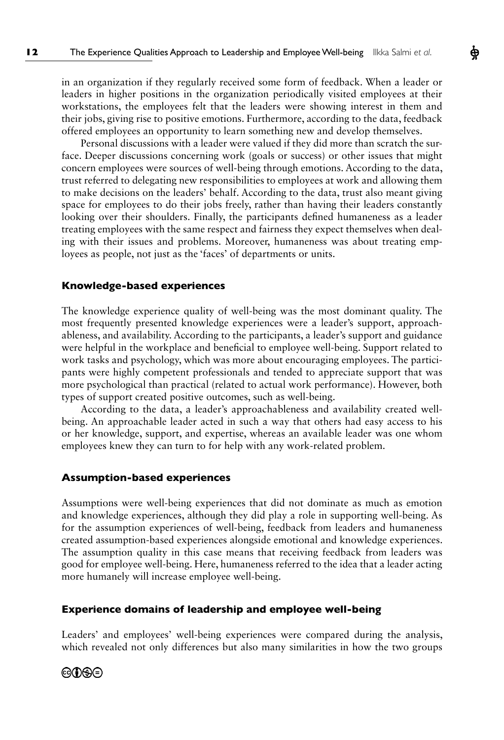in an organization if they regularly received some form of feedback. When a leader or leaders in higher positions in the organization periodically visited employees at their workstations, the employees felt that the leaders were showing interest in them and their jobs, giving rise to positive emotions. Furthermore, according to the data, feedback offered employees an opportunity to learn something new and develop themselves.

Ф

Personal discussions with a leader were valued if they did more than scratch the surface. Deeper discussions concerning work (goals or success) or other issues that might concern employees were sources of well-being through emotions. According to the data, trust referred to delegating new responsibilities to employees at work and allowing them to make decisions on the leaders' behalf. According to the data, trust also meant giving space for employees to do their jobs freely, rather than having their leaders constantly looking over their shoulders. Finally, the participants defned humaneness as a leader treating employees with the same respect and fairness they expect themselves when dealing with their issues and problems. Moreover, humaneness was about treating employees as people, not just as the 'faces' of departments or units.

#### **Knowledge-based experiences**

The knowledge experience quality of well-being was the most dominant quality. The most frequently presented knowledge experiences were a leader's support, approachableness, and availability. According to the participants, a leader's support and guidance were helpful in the workplace and benefcial to employee well-being. Support related to work tasks and psychology, which was more about encouraging employees. The participants were highly competent professionals and tended to appreciate support that was more psychological than practical (related to actual work performance). However, both types of support created positive outcomes, such as well-being.

According to the data, a leader's approachableness and availability created wellbeing. An approachable leader acted in such a way that others had easy access to his or her knowledge, support, and expertise, whereas an available leader was one whom employees knew they can turn to for help with any work-related problem.

#### **Assumption-based experiences**

Assumptions were well-being experiences that did not dominate as much as emotion and knowledge experiences, although they did play a role in supporting well-being. As for the assumption experiences of well-being, feedback from leaders and humaneness created assumption-based experiences alongside emotional and knowledge experiences. The assumption quality in this case means that receiving feedback from leaders was good for employee well-being. Here, humaneness referred to the idea that a leader acting more humanely will increase employee well-being.

#### **Experience domains of leadership and employee well-being**

Leaders' and employees' well-being experiences were compared during the analysis, which revealed not only differences but also many similarities in how the two groups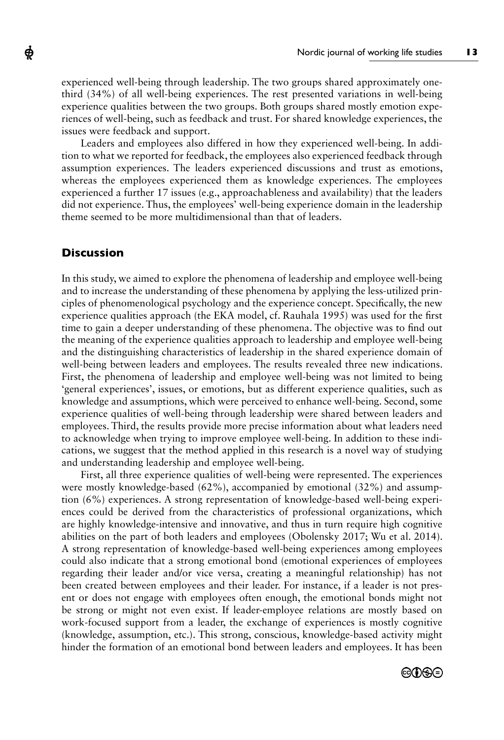experienced well-being through leadership. The two groups shared approximately onethird (34%) of all well-being experiences. The rest presented variations in well-being experience qualities between the two groups. Both groups shared mostly emotion experiences of well-being, such as feedback and trust. For shared knowledge experiences, the issues were feedback and support.

Leaders and employees also differed in how they experienced well-being. In addition to what we reported for feedback, the employees also experienced feedback through assumption experiences. The leaders experienced discussions and trust as emotions, whereas the employees experienced them as knowledge experiences. The employees experienced a further 17 issues (e.g., approachableness and availability) that the leaders did not experience. Thus, the employees' well-being experience domain in the leadership theme seemed to be more multidimensional than that of leaders.

# **Discussion**

ф

In this study, we aimed to explore the phenomena of leadership and employee well-being and to increase the understanding of these phenomena by applying the less-utilized principles of phenomenological psychology and the experience concept. Specifcally, the new experience qualities approach (the EKA model, cf. Rauhala 1995) was used for the frst time to gain a deeper understanding of these phenomena. The objective was to fnd out the meaning of the experience qualities approach to leadership and employee well-being and the distinguishing characteristics of leadership in the shared experience domain of well-being between leaders and employees. The results revealed three new indications. First, the phenomena of leadership and employee well-being was not limited to being 'general experiences', issues, or emotions, but as different experience qualities, such as knowledge and assumptions, which were perceived to enhance well-being. Second, some experience qualities of well-being through leadership were shared between leaders and employees. Third, the results provide more precise information about what leaders need to acknowledge when trying to improve employee well-being. In addition to these indications, we suggest that the method applied in this research is a novel way of studying and understanding leadership and employee well-being.

First, all three experience qualities of well-being were represented. The experiences were mostly knowledge-based (62%), accompanied by emotional (32%) and assumption (6%) experiences. A strong representation of knowledge-based well-being experiences could be derived from the characteristics of professional organizations, which are highly knowledge-intensive and innovative, and thus in turn require high cognitive abilities on the part of both leaders and employees (Obolensky 2017; Wu et al. 2014). A strong representation of knowledge-based well-being experiences among employees could also indicate that a strong emotional bond (emotional experiences of employees regarding their leader and/or vice versa, creating a meaningful relationship) has not been created between employees and their leader. For instance, if a leader is not present or does not engage with employees often enough, the emotional bonds might not be strong or might not even exist. If leader-employee relations are mostly based on work-focused support from a leader, the exchange of experiences is mostly cognitive (knowledge, assumption, etc.). This strong, conscious, knowledge-based activity might hinder the formation of an emotional bond between leaders and employees. It has been

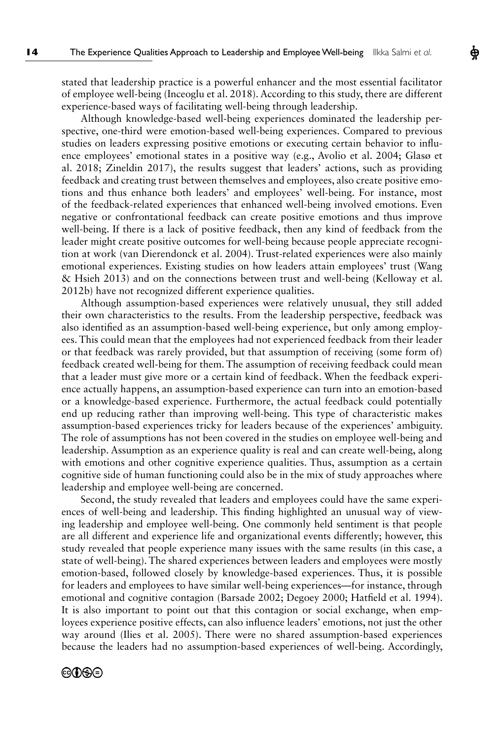stated that leadership practice is a powerful enhancer and the most essential facilitator of employee well-being (Inceoglu et al. 2018). According to this study, there are different experience-based ways of facilitating well-being through leadership.

Although knowledge-based well-being experiences dominated the leadership perspective, one-third were emotion-based well-being experiences. Compared to previous studies on leaders expressing positive emotions or executing certain behavior to infuence employees' emotional states in a positive way (e.g., Avolio et al. 2004; Glasø et al. 2018; Zineldin 2017), the results suggest that leaders' actions, such as providing feedback and creating trust between themselves and employees, also create positive emotions and thus enhance both leaders' and employees' well-being. For instance, most of the feedback-related experiences that enhanced well-being involved emotions. Even negative or confrontational feedback can create positive emotions and thus improve well-being. If there is a lack of positive feedback, then any kind of feedback from the leader might create positive outcomes for well-being because people appreciate recognition at work (van Dierendonck et al. 2004). Trust-related experiences were also mainly emotional experiences. Existing studies on how leaders attain employees' trust (Wang & Hsieh 2013) and on the connections between trust and well-being (Kelloway et al. 2012b) have not recognized different experience qualities.

Although assumption-based experiences were relatively unusual, they still added their own characteristics to the results. From the leadership perspective, feedback was also identifed as an assumption-based well-being experience, but only among employees. This could mean that the employees had not experienced feedback from their leader or that feedback was rarely provided, but that assumption of receiving (some form of) feedback created well-being for them. The assumption of receiving feedback could mean that a leader must give more or a certain kind of feedback. When the feedback experience actually happens, an assumption-based experience can turn into an emotion-based or a knowledge-based experience. Furthermore, the actual feedback could potentially end up reducing rather than improving well-being. This type of characteristic makes assumption-based experiences tricky for leaders because of the experiences' ambiguity. The role of assumptions has not been covered in the studies on employee well-being and leadership. Assumption as an experience quality is real and can create well-being, along with emotions and other cognitive experience qualities. Thus, assumption as a certain cognitive side of human functioning could also be in the mix of study approaches where leadership and employee well-being are concerned.

Second, the study revealed that leaders and employees could have the same experiences of well-being and leadership. This fnding highlighted an unusual way of viewing leadership and employee well-being. One commonly held sentiment is that people are all different and experience life and organizational events differently; however, this study revealed that people experience many issues with the same results (in this case, a state of well-being). The shared experiences between leaders and employees were mostly emotion-based, followed closely by knowledge-based experiences. Thus, it is possible for leaders and employees to have similar well-being experiences—for instance, through emotional and cognitive contagion (Barsade 2002; Degoey 2000; Hatfeld et al. 1994). It is also important to point out that this contagion or social exchange, when employees experience positive effects, can also infuence leaders' emotions, not just the other way around (Ilies et al. 2005). There were no shared assumption-based experiences because the leaders had no assumption-based experiences of well-being. Accordingly,

# ©OSO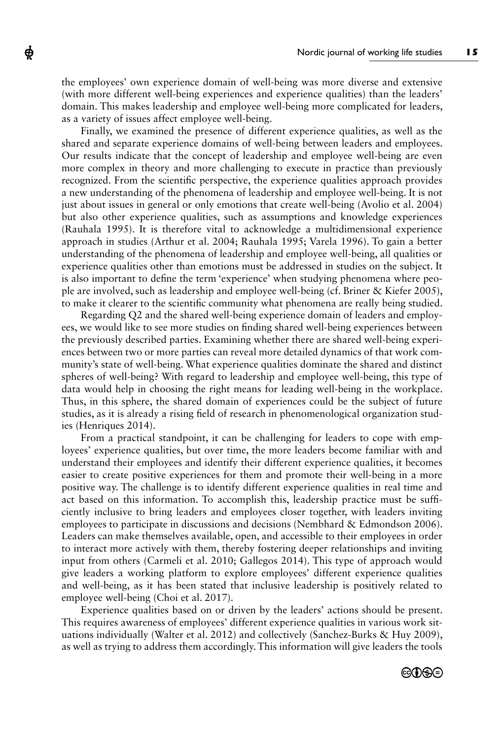the employees' own experience domain of well-being was more diverse and extensive (with more different well-being experiences and experience qualities) than the leaders' domain. This makes leadership and employee well-being more complicated for leaders, as a variety of issues affect employee well-being.

ф

Finally, we examined the presence of different experience qualities, as well as the shared and separate experience domains of well-being between leaders and employees. Our results indicate that the concept of leadership and employee well-being are even more complex in theory and more challenging to execute in practice than previously recognized. From the scientifc perspective, the experience qualities approach provides a new understanding of the phenomena of leadership and employee well-being. It is not just about issues in general or only emotions that create well-being (Avolio et al. 2004) but also other experience qualities, such as assumptions and knowledge experiences (Rauhala 1995). It is therefore vital to acknowledge a multidimensional experience approach in studies (Arthur et al. 2004; Rauhala 1995; Varela 1996). To gain a better understanding of the phenomena of leadership and employee well-being, all qualities or experience qualities other than emotions must be addressed in studies on the subject. It is also important to defne the term 'experience' when studying phenomena where people are involved, such as leadership and employee well-being (cf. Briner & Kiefer 2005), to make it clearer to the scientifc community what phenomena are really being studied.

Regarding Q2 and the shared well-being experience domain of leaders and employees, we would like to see more studies on fnding shared well-being experiences between the previously described parties. Examining whether there are shared well-being experiences between two or more parties can reveal more detailed dynamics of that work community's state of well-being. What experience qualities dominate the shared and distinct spheres of well-being? With regard to leadership and employee well-being, this type of data would help in choosing the right means for leading well-being in the workplace. Thus, in this sphere, the shared domain of experiences could be the subject of future studies, as it is already a rising feld of research in phenomenological organization studies (Henriques 2014).

From a practical standpoint, it can be challenging for leaders to cope with employees' experience qualities, but over time, the more leaders become familiar with and understand their employees and identify their different experience qualities, it becomes easier to create positive experiences for them and promote their well-being in a more positive way. The challenge is to identify different experience qualities in real time and act based on this information. To accomplish this, leadership practice must be suffciently inclusive to bring leaders and employees closer together, with leaders inviting employees to participate in discussions and decisions (Nembhard & Edmondson 2006). Leaders can make themselves available, open, and accessible to their employees in order to interact more actively with them, thereby fostering deeper relationships and inviting input from others (Carmeli et al. 2010; Gallegos 2014). This type of approach would give leaders a working platform to explore employees' different experience qualities and well-being, as it has been stated that inclusive leadership is positively related to employee well-being (Choi et al. 2017).

Experience qualities based on or driven by the leaders' actions should be present. This requires awareness of employees' different experience qualities in various work situations individually (Walter et al. 2012) and collectively (Sanchez-Burks & Huy 2009), as well as trying to address them accordingly. This information will give leaders the tools

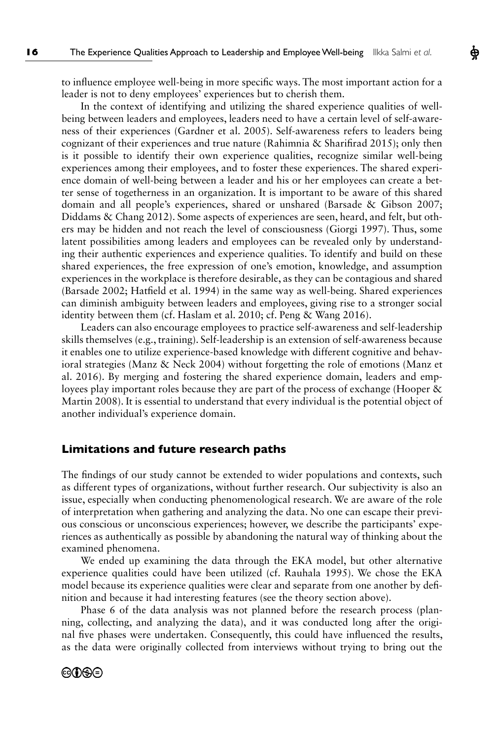to infuence employee well-being in more specifc ways. The most important action for a leader is not to deny employees' experiences but to cherish them.

Ф

In the context of identifying and utilizing the shared experience qualities of wellbeing between leaders and employees, leaders need to have a certain level of self-awareness of their experiences (Gardner et al. 2005). Self-awareness refers to leaders being cognizant of their experiences and true nature (Rahimnia & Sharifrad 2015); only then is it possible to identify their own experience qualities, recognize similar well-being experiences among their employees, and to foster these experiences. The shared experience domain of well-being between a leader and his or her employees can create a better sense of togetherness in an organization. It is important to be aware of this shared domain and all people's experiences, shared or unshared (Barsade & Gibson 2007; Diddams & Chang 2012). Some aspects of experiences are seen, heard, and felt, but others may be hidden and not reach the level of consciousness (Giorgi 1997). Thus, some latent possibilities among leaders and employees can be revealed only by understanding their authentic experiences and experience qualities. To identify and build on these shared experiences, the free expression of one's emotion, knowledge, and assumption experiences in the workplace is therefore desirable, as they can be contagious and shared (Barsade 2002; Hatfeld et al. 1994) in the same way as well-being. Shared experiences can diminish ambiguity between leaders and employees, giving rise to a stronger social identity between them (cf. Haslam et al. 2010; cf. Peng & Wang 2016).

Leaders can also encourage employees to practice self-awareness and self-leadership skills themselves (e.g., training). Self-leadership is an extension of self-awareness because it enables one to utilize experience-based knowledge with different cognitive and behavioral strategies (Manz & Neck 2004) without forgetting the role of emotions (Manz et al. 2016). By merging and fostering the shared experience domain, leaders and employees play important roles because they are part of the process of exchange (Hooper & Martin 2008). It is essential to understand that every individual is the potential object of another individual's experience domain.

#### **Limitations and future research paths**

The fndings of our study cannot be extended to wider populations and contexts, such as different types of organizations, without further research. Our subjectivity is also an issue, especially when conducting phenomenological research. We are aware of the role of interpretation when gathering and analyzing the data. No one can escape their previous conscious or unconscious experiences; however, we describe the participants' experiences as authentically as possible by abandoning the natural way of thinking about the examined phenomena.

We ended up examining the data through the EKA model, but other alternative experience qualities could have been utilized (cf. Rauhala 1995). We chose the EKA model because its experience qualities were clear and separate from one another by defnition and because it had interesting features (see the theory section above).

Phase 6 of the data analysis was not planned before the research process (planning, collecting, and analyzing the data), and it was conducted long after the original fve phases were undertaken. Consequently, this could have infuenced the results, as the data were originally collected from interviews without trying to bring out the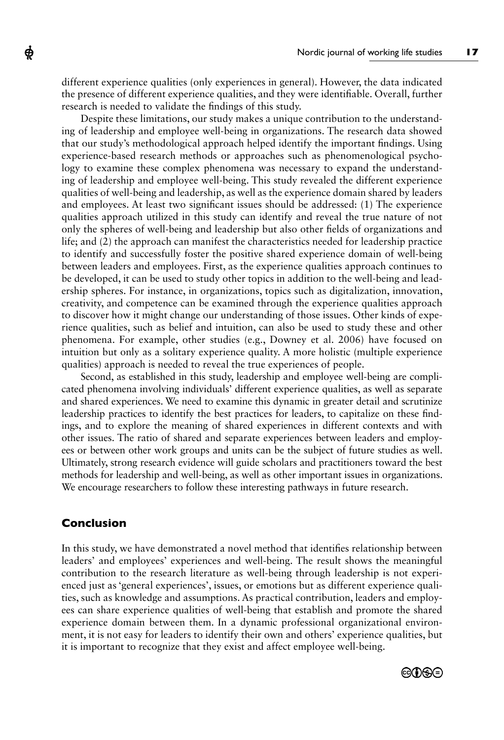different experience qualities (only experiences in general). However, the data indicated the presence of different experience qualities, and they were identifable. Overall, further research is needed to validate the fndings of this study.

Despite these limitations, our study makes a unique contribution to the understanding of leadership and employee well-being in organizations. The research data showed that our study's methodological approach helped identify the important fndings. Using experience-based research methods or approaches such as phenomenological psychology to examine these complex phenomena was necessary to expand the understanding of leadership and employee well-being. This study revealed the different experience qualities of well-being and leadership, as well as the experience domain shared by leaders and employees. At least two signifcant issues should be addressed: (1) The experience qualities approach utilized in this study can identify and reveal the true nature of not only the spheres of well-being and leadership but also other felds of organizations and life; and (2) the approach can manifest the characteristics needed for leadership practice to identify and successfully foster the positive shared experience domain of well-being between leaders and employees. First, as the experience qualities approach continues to be developed, it can be used to study other topics in addition to the well-being and leadership spheres. For instance, in organizations, topics such as digitalization, innovation, creativity, and competence can be examined through the experience qualities approach to discover how it might change our understanding of those issues. Other kinds of experience qualities, such as belief and intuition, can also be used to study these and other phenomena. For example, other studies (e.g., Downey et al. 2006) have focused on intuition but only as a solitary experience quality. A more holistic (multiple experience qualities) approach is needed to reveal the true experiences of people.

Second, as established in this study, leadership and employee well-being are complicated phenomena involving individuals' different experience qualities, as well as separate and shared experiences. We need to examine this dynamic in greater detail and scrutinize leadership practices to identify the best practices for leaders, to capitalize on these fndings, and to explore the meaning of shared experiences in different contexts and with other issues. The ratio of shared and separate experiences between leaders and employees or between other work groups and units can be the subject of future studies as well. Ultimately, strong research evidence will guide scholars and practitioners toward the best methods for leadership and well-being, as well as other important issues in organizations. We encourage researchers to follow these interesting pathways in future research.

# **Conclusion**

ф

In this study, we have demonstrated a novel method that identifes relationship between leaders' and employees' experiences and well-being. The result shows the meaningful contribution to the research literature as well-being through leadership is not experienced just as 'general experiences', issues, or emotions but as different experience qualities, such as knowledge and assumptions. As practical contribution, leaders and employees can share experience qualities of well-being that establish and promote the shared experience domain between them. In a dynamic professional organizational environment, it is not easy for leaders to identify their own and others' experience qualities, but it is important to recognize that they exist and affect employee well-being.

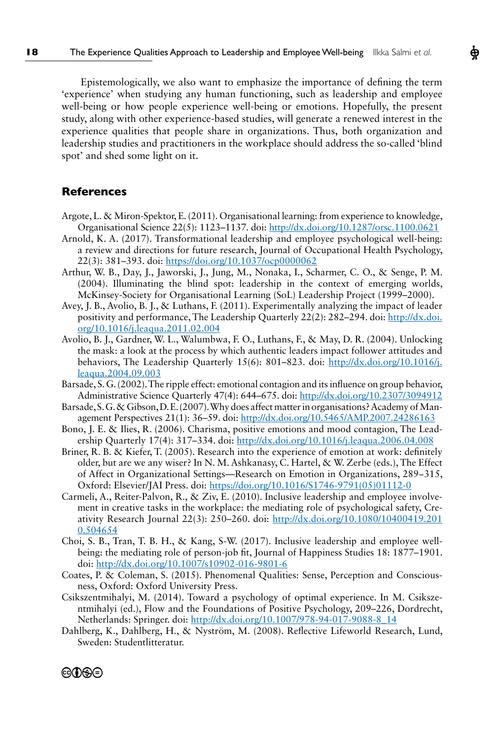Epistemologically, we also want to emphasize the importance of defning the term 'experience' when studying any human functioning, such as leadership and employee well-being or how people experience well-being or emotions. Hopefully, the present study, along with other experience-based studies, will generate a renewed interest in the experience qualities that people share in organizations. Thus, both organization and leadership studies and practitioners in the workplace should address the so-called 'blind spot' and shed some light on it.

#### **References**

@O\$O

- Argote, L. & Miron-Spektor, E. (2011). Organisational learning: from experience to knowledge, Organisational Science 22(5): 1123–1137. doi: http://dx.doi.org/10.1287/orsc.1100.0621
- Arnold, K. A. (2017). Transformational leadership and employee psychological well-being: a review and directions for future research, Journal of Occupational Health Psychology, 22(3): 381–393. doi: https://doi.org/10.1037/ocp0000062
- Arthur, W. B., Day, J., Jaworski, J., Jung, M., Nonaka, I., Scharmer, C. O., & Senge, P. M. (2004). Illuminating the blind spot: leadership in the context of emerging worlds, McKinsey-Society for Organisational Learning (SoL) Leadership Project (1999–2000).
- Avey, J. B., Avolio, B. J., & Luthans, F. (2011). Experimentally analyzing the impact of leader positivity and performance, The Leadership Quarterly 22(2): 282–294. doi: http://dx.doi. org/10.1016/j.leaqua.2011.02.004
- Avolio, B. J., Gardner, W. L., Walumbwa, F. O., Luthans, F., & May, D. R. (2004). Unlocking the mask: a look at the process by which authentic leaders impact follower attitudes and behaviors, The Leadership Quarterly 15(6): 801–823. doi: http://dx.doi.org/10.1016/j. leaqua.2004.09.003
- Barsade, S. G. (2002). The ripple effect: emotional contagion and its infuence on group behavior, Administrative Science Quarterly 47(4): 644–675. doi: http://dx.doi.org/10.2307/3094912
- Barsade, S. G. & Gibson, D. E. (2007). Why does affect matter in organisations? Academy of Management Perspectives 21(1): 36–59. doi: http://dx.doi.org/10.5465/AMP.2007.24286163
- Bono, J. E. & Ilies, R. (2006). Charisma, positive emotions and mood contagion, The Leadership Quarterly 17(4): 317–334. doi: http://dx.doi.org/10.1016/j.leaqua.2006.04.008
- Briner, R. B. & Kiefer, T. (2005). Research into the experience of emotion at work: defnitely older, but are we any wiser? In N. M. Ashkanasy, C. Hartel, & W. Zerbe (eds.), The Effect of Affect in Organizational Settings—Research on Emotion in Organizations, 289−315, Oxford: Elsevier/JAI Press. doi: https://doi.org/10.1016/S1746-9791(05)01112-0
- Carmeli, A., Reiter-Palvon, R., & Ziv, E. (2010). Inclusive leadership and employee involvement in creative tasks in the workplace: the mediating role of psychological safety, Creativity Research Journal 22(3): 250–260. doi: http://dx.doi.org/10.1080/10400419.201 0.504654
- Choi, S. B., Tran, T. B. H., & Kang, S-W. (2017). Inclusive leadership and employee wellbeing: the mediating role of person-job ft, Journal of Happiness Studies 18: 1877–1901. doi: http://dx.doi.org/10.1007/s10902-016-9801-6
- Coates, P. & Coleman, S. (2015). Phenomenal Qualities: Sense, Perception and Consciousness, Oxford: Oxford University Press.
- Csikszentmihalyi, M. (2014). Toward a psychology of optimal experience. In M. Csikszentmihalyi (ed.), Flow and the Foundations of Positive Psychology, 209–226, Dordrecht, Netherlands: Springer. doi: http://dx.doi.org/10.1007/978-94-017-9088-8\_14
- Dahlberg, K., Dahlberg, H., & Nyström, M. (2008). Refective Lifeworld Research, Lund, Sweden: Studentlitteratur.

Ф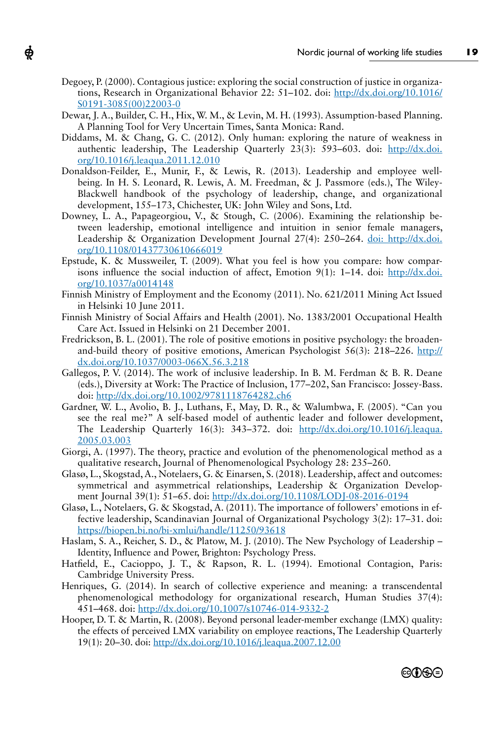Degoey, P. (2000). Contagious justice: exploring the social construction of justice in organizations, Research in Organizational Behavior 22: 51–102. doi: http://dx.doi.org/10.1016/ S0191-3085(00)22003-0

ф

- Dewar, J. A., Builder, C. H., Hix, W. M., & Levin, M. H. (1993). Assumption-based Planning. A Planning Tool for Very Uncertain Times, Santa Monica: Rand.
- Diddams, M. & Chang, G. C. (2012). Only human: exploring the nature of weakness in authentic leadership, The Leadership Quarterly 23(3): 593–603. doi: http://dx.doi. org/10.1016/j.leaqua.2011.12.010
- Donaldson-Feilder, E., Munir, F., & Lewis, R. (2013). Leadership and employee wellbeing. In H. S. Leonard, R. Lewis, A. M. Freedman, & J. Passmore (eds.), The Wiley-Blackwell handbook of the psychology of leadership, change, and organizational development, 155–173, Chichester, UK: John Wiley and Sons, Ltd.
- Downey, L. A., Papageorgiou, V., & Stough, C. (2006). Examining the relationship between leadership, emotional intelligence and intuition in senior female managers, Leadership & Organization Development Journal 27(4): 250–264. doi: http://dx.doi. org/10.1108/01437730610666019
- Epstude, K. & Mussweiler, T. (2009). What you feel is how you compare: how comparisons influence the social induction of affect, Emotion 9(1):  $1-14$ . doi: http://dx.doi. org/10.1037/a0014148
- Finnish Ministry of Employment and the Economy (2011). No. 621/2011 Mining Act Issued in Helsinki 10 June 2011.
- Finnish Ministry of Social Affairs and Health (2001). No. 1383/2001 Occupational Health Care Act. Issued in Helsinki on 21 December 2001.
- Fredrickson, B. L. (2001). The role of positive emotions in positive psychology: the broadenand-build theory of positive emotions, American Psychologist  $56(3)$ : 218–226. http:// dx.doi.org/10.1037/0003-066X.56.3.218
- Gallegos, P. V. (2014). The work of inclusive leadership. In B. M. Ferdman & B. R. Deane (eds.), Diversity at Work: The Practice of Inclusion, 177–202, San Francisco: Jossey-Bass. doi: http://dx.doi.org/10.1002/9781118764282.ch6
- Gardner, W. L., Avolio, B. J., Luthans, F., May, D. R., & Walumbwa, F. (2005). "Can you see the real me?" A self-based model of authentic leader and follower development, The Leadership Quarterly 16(3): 343-372. doi: http://dx.doi.org/10.1016/j.leaqua. 2005.03.003
- Giorgi, A. (1997). The theory, practice and evolution of the phenomenological method as a qualitative research, Journal of Phenomenological Psychology 28: 235–260.
- Glasø, L., Skogstad, A., Notelaers, G. & Einarsen, S. (2018). Leadership, affect and outcomes: symmetrical and asymmetrical relationships, Leadership & Organization Development Journal 39(1): 51-65. doi: http://dx.doi.org/10.1108/LODJ-08-2016-0194
- Glasø, L., Notelaers, G. & Skogstad, A. (2011). The importance of followers' emotions in effective leadership, Scandinavian Journal of Organizational Psychology 3(2): 17–31. doi: https://biopen.bi.no/bi-xmlui/handle/11250/93618
- Haslam, S. A., Reicher, S. D., & Platow, M. J. (2010). The New Psychology of Leadership Identity, Infuence and Power, Brighton: Psychology Press.
- Hatfeld, E., Cacioppo, J. T., & Rapson, R. L. (1994). Emotional Contagion, Paris: Cambridge University Press.
- Henriques, G. (2014). In search of collective experience and meaning: a transcendental phenomenological methodology for organizational research, Human Studies 37(4): 451–468. doi: http://dx.doi.org/10.1007/s10746-014-9332-2
- Hooper, D. T. & Martin, R. (2008). Beyond personal leader-member exchange (LMX) quality: the effects of perceived LMX variability on employee reactions, The Leadership Quarterly 19(1): 20–30. doi: http://dx.doi.org/10.1016/j.leaqua.2007.12.00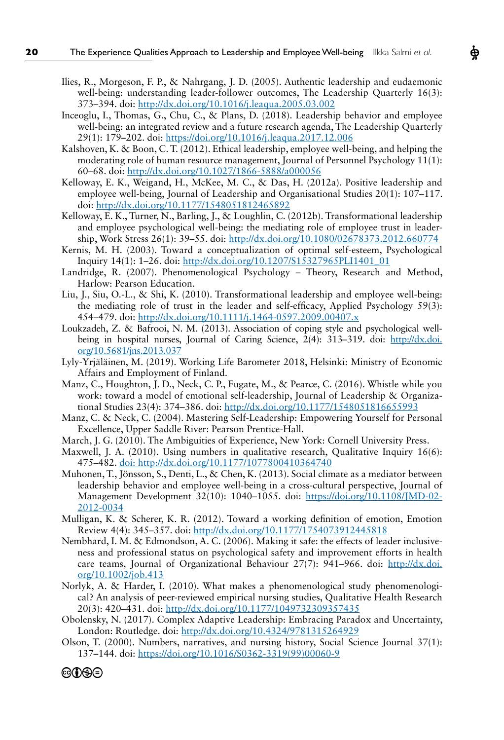- Ilies, R., Morgeson, F. P., & Nahrgang, J. D. (2005). Authentic leadership and eudaemonic well-being: understanding leader-follower outcomes, The Leadership Quarterly 16(3): 373–394. doi: http://dx.doi.org/10.1016/j.leaqua.2005.03.002
- Inceoglu, I., Thomas, G., Chu, C., & Plans, D. (2018). Leadership behavior and employee well-being: an integrated review and a future research agenda, The Leadership Quarterly 29(1): 179–202. doi: https://doi.org/10.1016/j.leaqua.2017.12.006
- Kalshoven, K. & Boon, C. T. (2012). Ethical leadership, employee well-being, and helping the moderating role of human resource management, Journal of Personnel Psychology 11(1): 60–68. doi: http://dx.doi.org/10.1027/1866-5888/a000056
- Kelloway, E. K., Weigand, H., McKee, M. C., & Das, H. (2012a). Positive leadership and employee well-being, Journal of Leadership and Organisational Studies 20(1): 107–117. doi: http://dx.doi.org/10.1177/1548051812465892
- Kelloway, E. K., Turner, N., Barling, J., & Loughlin, C. (2012b). Transformational leadership and employee psychological well-being: the mediating role of employee trust in leadership, Work Stress 26(1): 39–55. doi: http://dx.doi.org/10.1080/02678373.2012.660774
- Kernis, M. H. (2003). Toward a conceptualization of optimal self-esteem, Psychological Inquiry 14(1): 1–26. doi: http://dx.doi.org/10.1207/S15327965PLI1401\_01
- Landridge, R. (2007). Phenomenological Psychology Theory, Research and Method, Harlow: Pearson Education.
- Liu, J., Siu, O.-L., & Shi, K. (2010). Transformational leadership and employee well-being: the mediating role of trust in the leader and self-effcacy, Applied Psychology 59(3): 454–479. doi: http://dx.doi.org/10.1111/j.1464-0597.2009.00407.x
- Loukzadeh, Z. & Bafrooi, N. M. (2013). Association of coping style and psychological wellbeing in hospital nurses, Journal of Caring Science, 2(4): 313-319. doi: http://dx.doi. org/10.5681/jns.2013.037
- Lyly-Yrjäläinen, M. (2019). Working Life Barometer 2018, Helsinki: Ministry of Economic Affairs and Employment of Finland.
- Manz, C., Houghton, J. D., Neck, C. P., Fugate, M., & Pearce, C. (2016). Whistle while you work: toward a model of emotional self-leadership, Journal of Leadership & Organizational Studies 23(4): 374-386. doi: http://dx.doi.org/10.1177/1548051816655993
- Manz, C. & Neck, C. (2004). Mastering Self-Leadership: Empowering Yourself for Personal Excellence, Upper Saddle River: Pearson Prentice-Hall.
- March, J. G. (2010). The Ambiguities of Experience, New York: Cornell University Press.
- Maxwell, J. A. (2010). Using numbers in qualitative research, Qualitative Inquiry 16(6): 475–482. doi: http://dx.doi.org/10.1177/1077800410364740
- Muhonen, T., Jönsson, S., Denti, L., & Chen, K. (2013). Social climate as a mediator between leadership behavior and employee well-being in a cross-cultural perspective, Journal of Management Development 32(10): 1040-1055. doi: https://doi.org/10.1108/JMD-02-2012-0034
- Mulligan, K. & Scherer, K. R. (2012). Toward a working defnition of emotion, Emotion Review 4(4): 345–357. doi: http://dx.doi.org/10.1177/1754073912445818
- Nembhard, I. M. & Edmondson, A. C. (2006). Making it safe: the effects of leader inclusiveness and professional status on psychological safety and improvement efforts in health care teams, Journal of Organizational Behaviour 27(7): 941–966. doi: http://dx.doi. org/10.1002/job.413
- Norlyk, A. & Harder, I. (2010). What makes a phenomenological study phenomenological? An analysis of peer-reviewed empirical nursing studies, Qualitative Health Research 20(3): 420-431. doi: http://dx.doi.org/10.1177/1049732309357435
- Obolensky, N. (2017). Complex Adaptive Leadership: Embracing Paradox and Uncertainty, London: Routledge. doi: http://dx.doi.org/10.4324/9781315264929
- Olson, T. (2000). Numbers, narratives, and nursing history, Social Science Journal 37(1): 137–144. doi: https://doi.org/10.1016/S0362-3319(99)00060-9

©OSO